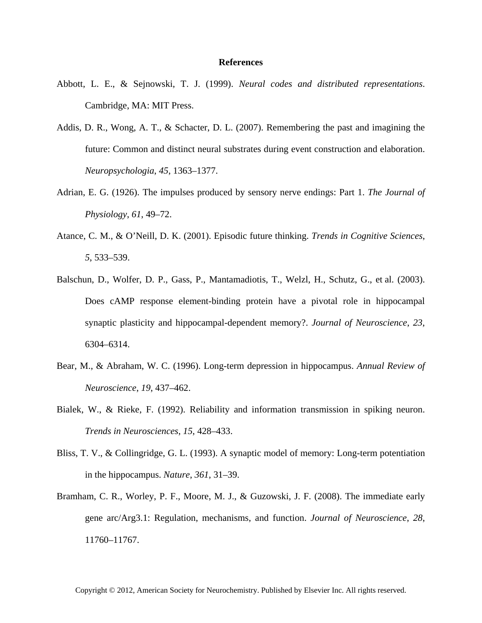## **References**

- Abbott, L. E., & Sejnowski, T. J. (1999). *Neural codes and distributed representations*. Cambridge, MA: MIT Press.
- Addis, D. R., Wong, A. T., & Schacter, D. L. (2007). Remembering the past and imagining the future: Common and distinct neural substrates during event construction and elaboration. *Neuropsychologia*, *45*, 1363–1377.
- Adrian, E. G. (1926). The impulses produced by sensory nerve endings: Part 1. *The Journal of Physiology*, *61*, 49–72.
- Atance, C. M., & O'Neill, D. K. (2001). Episodic future thinking. *Trends in Cognitive Sciences*, *5*, 533–539.
- Balschun, D., Wolfer, D. P., Gass, P., Mantamadiotis, T., Welzl, H., Schutz, G., et al. (2003). Does cAMP response element-binding protein have a pivotal role in hippocampal synaptic plasticity and hippocampal-dependent memory?. *Journal of Neuroscience*, *23*, 6304–6314.
- Bear, M., & Abraham, W. C. (1996). Long-term depression in hippocampus. *Annual Review of Neuroscience*, *19*, 437–462.
- Bialek, W., & Rieke, F. (1992). Reliability and information transmission in spiking neuron. *Trends in Neurosciences*, *15*, 428–433.
- Bliss, T. V., & Collingridge, G. L. (1993). A synaptic model of memory: Long-term potentiation in the hippocampus. *Nature*, *361*, 31–39.
- Bramham, C. R., Worley, P. F., Moore, M. J., & Guzowski, J. F. (2008). The immediate early gene arc/Arg3.1: Regulation, mechanisms, and function. *Journal of Neuroscience*, *28*, 11760–11767.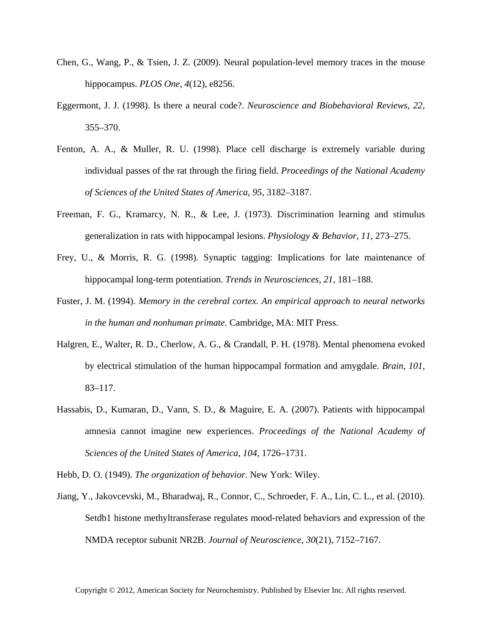- Chen, G., Wang, P., & Tsien, J. Z. (2009). Neural population-level memory traces in the mouse hippocampus. *PLOS One*, *4*(12), e8256.
- Eggermont, J. J. (1998). Is there a neural code?. *Neuroscience and Biobehavioral Reviews*, *22*, 355–370.
- Fenton, A. A., & Muller, R. U. (1998). Place cell discharge is extremely variable during individual passes of the rat through the firing field. *Proceedings of the National Academy of Sciences of the United States of America*, *95*, 3182–3187.
- Freeman, F. G., Kramarcy, N. R., & Lee, J. (1973). Discrimination learning and stimulus generalization in rats with hippocampal lesions. *Physiology & Behavior*, *11*, 273–275.
- Frey, U., & Morris, R. G. (1998). Synaptic tagging: Implications for late maintenance of hippocampal long-term potentiation. *Trends in Neurosciences*, *21*, 181–188.
- Fuster, J. M. (1994). *Memory in the cerebral cortex. An empirical approach to neural networks in the human and nonhuman primate*. Cambridge, MA: MIT Press.
- Halgren, E., Walter, R. D., Cherlow, A. G., & Crandall, P. H. (1978). Mental phenomena evoked by electrical stimulation of the human hippocampal formation and amygdale. *Brain*, *101*, 83–117.
- Hassabis, D., Kumaran, D., Vann, S. D., & Maguire, E. A. (2007). Patients with hippocampal amnesia cannot imagine new experiences. *Proceedings of the National Academy of Sciences of the United States of America*, *104*, 1726–1731.

Hebb, D. O. (1949). *The organization of behavior*. New York: Wiley.

Jiang, Y., Jakovcevski, M., Bharadwaj, R., Connor, C., Schroeder, F. A., Lin, C. L., et al. (2010). Setdb1 histone methyltransferase regulates mood-related behaviors and expression of the NMDA receptor subunit NR2B. *Journal of Neuroscience*, *30*(21), 7152–7167.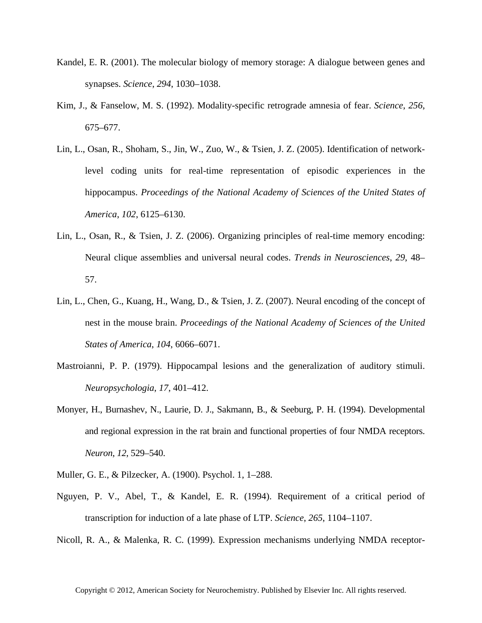- Kandel, E. R. (2001). The molecular biology of memory storage: A dialogue between genes and synapses. *Science*, *294*, 1030–1038.
- Kim, J., & Fanselow, M. S. (1992). Modality-specific retrograde amnesia of fear. *Science*, *256*, 675–677.
- Lin, L., Osan, R., Shoham, S., Jin, W., Zuo, W., & Tsien, J. Z. (2005). Identification of networklevel coding units for real-time representation of episodic experiences in the hippocampus. *Proceedings of the National Academy of Sciences of the United States of America*, *102*, 6125–6130.
- Lin, L., Osan, R., & Tsien, J. Z. (2006). Organizing principles of real-time memory encoding: Neural clique assemblies and universal neural codes. *Trends in Neurosciences*, *29*, 48– 57.
- Lin, L., Chen, G., Kuang, H., Wang, D., & Tsien, J. Z. (2007). Neural encoding of the concept of nest in the mouse brain. *Proceedings of the National Academy of Sciences of the United States of America*, *104*, 6066–6071.
- Mastroianni, P. P. (1979). Hippocampal lesions and the generalization of auditory stimuli. *Neuropsychologia*, *17*, 401–412.
- Monyer, H., Burnashev, N., Laurie, D. J., Sakmann, B., & Seeburg, P. H. (1994). Developmental and regional expression in the rat brain and functional properties of four NMDA receptors. *Neuron*, *12*, 529–540.
- Muller, G. E., & Pilzecker, A. (1900). Psychol. 1, 1–288.
- Nguyen, P. V., Abel, T., & Kandel, E. R. (1994). Requirement of a critical period of transcription for induction of a late phase of LTP. *Science*, *265*, 1104–1107.

Nicoll, R. A., & Malenka, R. C. (1999). Expression mechanisms underlying NMDA receptor-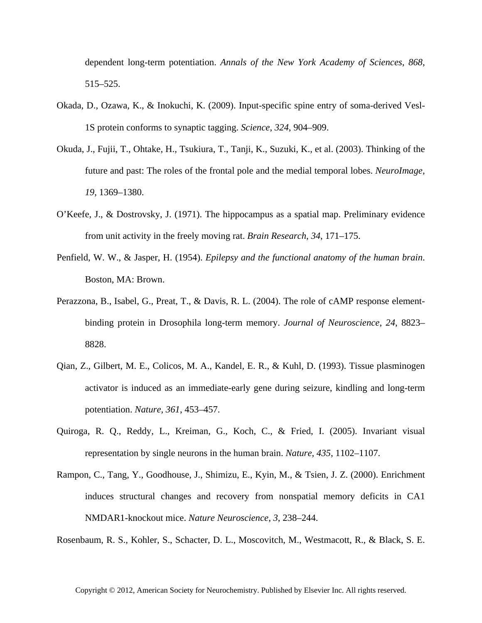dependent long-term potentiation. *Annals of the New York Academy of Sciences*, *868*, 515–525.

- Okada, D., Ozawa, K., & Inokuchi, K. (2009). Input-specific spine entry of soma-derived Vesl-1S protein conforms to synaptic tagging. *Science*, *324*, 904–909.
- Okuda, J., Fujii, T., Ohtake, H., Tsukiura, T., Tanji, K., Suzuki, K., et al. (2003). Thinking of the future and past: The roles of the frontal pole and the medial temporal lobes. *NeuroImage*, *19*, 1369–1380.
- O'Keefe, J., & Dostrovsky, J. (1971). The hippocampus as a spatial map. Preliminary evidence from unit activity in the freely moving rat. *Brain Research*, *34*, 171–175.
- Penfield, W. W., & Jasper, H. (1954). *Epilepsy and the functional anatomy of the human brain*. Boston, MA: Brown.
- Perazzona, B., Isabel, G., Preat, T., & Davis, R. L. (2004). The role of cAMP response elementbinding protein in Drosophila long-term memory. *Journal of Neuroscience*, *24*, 8823– 8828.
- Qian, Z., Gilbert, M. E., Colicos, M. A., Kandel, E. R., & Kuhl, D. (1993). Tissue plasminogen activator is induced as an immediate-early gene during seizure, kindling and long-term potentiation. *Nature*, *361*, 453–457.
- Quiroga, R. Q., Reddy, L., Kreiman, G., Koch, C., & Fried, I. (2005). Invariant visual representation by single neurons in the human brain. *Nature*, *435*, 1102–1107.
- Rampon, C., Tang, Y., Goodhouse, J., Shimizu, E., Kyin, M., & Tsien, J. Z. (2000). Enrichment induces structural changes and recovery from nonspatial memory deficits in CA1 NMDAR1-knockout mice. *Nature Neuroscience*, *3*, 238–244.

Rosenbaum, R. S., Kohler, S., Schacter, D. L., Moscovitch, M., Westmacott, R., & Black, S. E.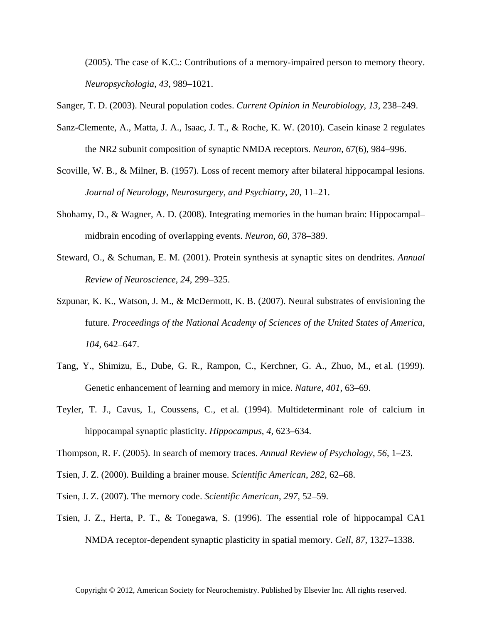(2005). The case of K.C.: Contributions of a memory-impaired person to memory theory. *Neuropsychologia*, *43*, 989–1021.

Sanger, T. D. (2003). Neural population codes. *Current Opinion in Neurobiology*, *13*, 238–249.

- Sanz-Clemente, A., Matta, J. A., Isaac, J. T., & Roche, K. W. (2010). Casein kinase 2 regulates the NR2 subunit composition of synaptic NMDA receptors. *Neuron*, *67*(6), 984–996.
- Scoville, W. B., & Milner, B. (1957). Loss of recent memory after bilateral hippocampal lesions. *Journal of Neurology, Neurosurgery, and Psychiatry*, *20*, 11–21.
- Shohamy, D., & Wagner, A. D. (2008). Integrating memories in the human brain: Hippocampal– midbrain encoding of overlapping events. *Neuron*, *60*, 378–389.
- Steward, O., & Schuman, E. M. (2001). Protein synthesis at synaptic sites on dendrites. *Annual Review of Neuroscience*, *24*, 299–325.
- Szpunar, K. K., Watson, J. M., & McDermott, K. B. (2007). Neural substrates of envisioning the future. *Proceedings of the National Academy of Sciences of the United States of America*, *104*, 642–647.
- Tang, Y., Shimizu, E., Dube, G. R., Rampon, C., Kerchner, G. A., Zhuo, M., et al. (1999). Genetic enhancement of learning and memory in mice. *Nature*, *401*, 63–69.
- Teyler, T. J., Cavus, I., Coussens, C., et al. (1994). Multideterminant role of calcium in hippocampal synaptic plasticity. *Hippocampus*, *4*, 623–634.
- Thompson, R. F. (2005). In search of memory traces. *Annual Review of Psychology*, *56*, 1–23.
- Tsien, J. Z. (2000). Building a brainer mouse. *Scientific American*, *282*, 62–68.
- Tsien, J. Z. (2007). The memory code. *Scientific American*, *297*, 52–59.
- Tsien, J. Z., Herta, P. T., & Tonegawa, S. (1996). The essential role of hippocampal CA1 NMDA receptor-dependent synaptic plasticity in spatial memory. *Cell*, *87*, 1327–1338.